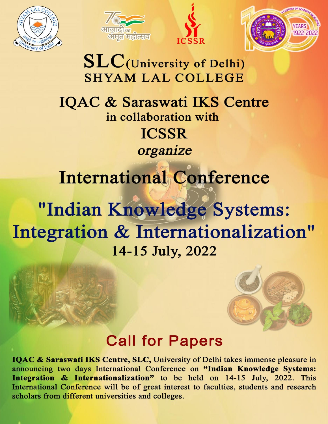







## $SLC$ (University of Delhi) **SHYAM LAL COLLEGE**

## IQAC & Saraswati IKS Centre in collaboration with **ICSSR** organize

# International Conference

## "Indian Knowledge Systems: Integration & Internationalization" 14-15 July, 2022



### **Call for Papers**

IQAC & Saraswati IKS Centre, SLC, University of Delhi takes immense pleasure in announcing two days International Conference on "Indian Knowledge Systems: Integration & Internationalization" to be held on 14-15 July, 2022. This International Conference will be of great interest to faculties, students and research scholars from different universities and colleges.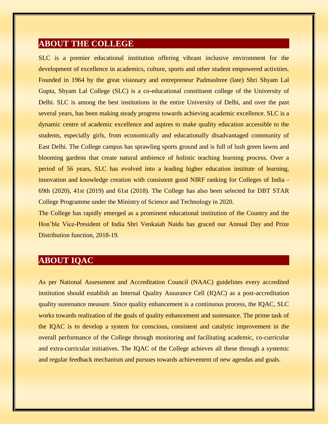#### **ABOUT THE COLLEGE**

SLC is a premier educational institution offering vibrant inclusive environment for the development of excellence in academics, culture, sports and other student empowered activities. Founded in 1964 by the great visionary and entrepreneur Padmashree (late) Shri Shyam Lal Gupta, Shyam Lal College (SLC) is a co-educational constituent college of the University of Delhi. SLC is among the best institutions in the entire University of Delhi, and over the past several years, has been making steady progress towards achieving academic excellence. SLC is a dynamic centre of academic excellence and aspires to make quality education accessible to the students, especially girls, from economically and educationally disadvantaged community of East Delhi. The College campus has sprawling sports ground and is full of lush green lawns and blooming gardens that create natural ambience of holistic teaching learning process. Over a period of 56 years, SLC has evolved into a leading higher education institute of learning, innovation and knowledge creation with consistent good NIRF ranking for Colleges of India - 69th (2020), 41st (2019) and 61st (2018). The College has also been selected for DBT STAR College Programme under the Ministry of Science and Technology in 2020.

The College has rapidly emerged as a prominent educational institution of the Country and the Hon'ble Vice-President of India Shri Venkaiah Naidu has graced our Annual Day and Prize Distribution function, 2018-19.

#### **ABOUT IQAC**

As per National Assessment and Accreditation Council (NAAC) guidelines every accredited institution should establish an Internal Quality Assurance Cell (IQAC) as a post-accreditation quality sustenance measure. Since quality enhancement is a continuous process, the IQAC, SLC works towards realization of the goals of quality enhancement and sustenance. The prime task of the IQAC is to develop a system for conscious, consistent and catalytic improvement in the overall performance of the College through monitoring and facilitating academic, co-curricular and extra-curricular initiatives. The IQAC of the College achieves all these through a systemic and regular feedback mechanism and pursues towards achievement of new agendas and goals.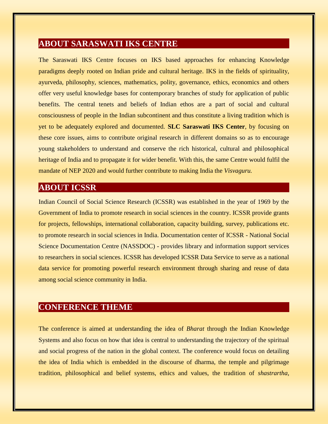#### **ABOUT SARASWATI IKS CENTRE**

The Saraswati IKS Centre focuses on IKS based approaches for enhancing Knowledge paradigms deeply rooted on Indian pride and cultural heritage. IKS in the fields of spirituality, ayurveda, philosophy, sciences, mathematics, polity, governance, ethics, economics and others offer very useful knowledge bases for contemporary branches of study for application of public benefits. The central tenets and beliefs of Indian ethos are a part of social and cultural consciousness of people in the Indian subcontinent and thus constitute a living tradition which is yet to be adequately explored and documented. **SLC Saraswati IKS Center**, by focusing on these core issues, aims to contribute original research in different domains so as to encourage young stakeholders to understand and conserve the rich historical, cultural and philosophical heritage of India and to propagate it for wider benefit. With this, the same Centre would fulfil the mandate of NEP 2020 and would further contribute to making India the *Visvaguru.*

#### **ABOUT ICSSR**

Indian Council of Social Science Research (ICSSR) was established in the year of 1969 by the Government of India to promote research in social sciences in the country. ICSSR provide grants for projects, fellowships, international collaboration, capacity building, survey, publications etc. to promote research in social sciences in India. Documentation center of ICSSR - National Social Science Documentation Centre (NASSDOC) - provides library and information support services to researchers in social sciences. ICSSR has developed ICSSR Data Service to serve as a national data service for promoting powerful research environment through sharing and reuse of data among social science community in India.

#### **CONFERENCE THEME**

The conference is aimed at understanding the idea of *Bharat* through the Indian Knowledge Systems and also focus on how that idea is central to understanding the trajectory of the spiritual and social progress of the nation in the global context. The conference would focus on detailing the idea of India which is embedded in the discourse of dharma, the temple and pilgrimage tradition, philosophical and belief systems, ethics and values, the tradition of *shastrartha*,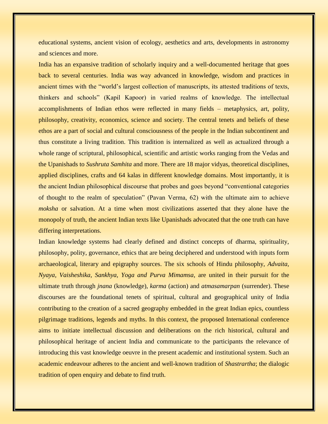educational systems, ancient vision of ecology, aesthetics and arts, developments in astronomy and sciences and more.

India has an expansive tradition of scholarly inquiry and a well-documented heritage that goes back to several centuries. India was way advanced in knowledge, wisdom and practices in ancient times with the "world's largest collection of manuscripts, its attested traditions of texts, thinkers and schools" (Kapil Kapoor) in varied realms of knowledge. The intellectual accomplishments of Indian ethos were reflected in many fields – metaphysics, art, polity, philosophy, creativity, economics, science and society. The central tenets and beliefs of these ethos are a part of social and cultural consciousness of the people in the Indian subcontinent and thus constitute a living tradition. This tradition is internalized as well as actualized through a whole range of scriptural, philosophical, scientific and artistic works ranging from the Vedas and the Upanishads to *Sushruta Samhita* and more. There are 18 major vidyas, theoretical disciplines, applied disciplines, crafts and 64 kalas in different knowledge domains. Most importantly, it is the ancient Indian philosophical discourse that probes and goes beyond "conventional categories of thought to the realm of speculation" (Pavan Verma, 62) with the ultimate aim to achieve *moksha* or salvation. At a time when most civilizations asserted that they alone have the monopoly of truth, the ancient Indian texts like Upanishads advocated that the one truth can have differing interpretations.

Indian knowledge systems had clearly defined and distinct concepts of dharma, spirituality, philosophy, polity, governance, ethics that are being deciphered and understood with inputs form archaeological, literary and epigraphy sources. The six schools of Hindu philosophy, *Advaita, Nyaya, Vaisheshika, Sankhya, Yoga and Purva Mimamsa*, are united in their pursuit for the ultimate truth through *jnana* (knowledge), *karma* (action) and *atmasamarpan* (surrender). These discourses are the foundational tenets of spiritual, cultural and geographical unity of India contributing to the creation of a sacred geography embedded in the great Indian epics, countless pilgrimage traditions, legends and myths. In this context, the proposed International conference aims to initiate intellectual discussion and deliberations on the rich historical, cultural and philosophical heritage of ancient India and communicate to the participants the relevance of introducing this vast knowledge oeuvre in the present academic and institutional system. Such an academic endeavour adheres to the ancient and well-known tradition of *Shastrartha*; the dialogic tradition of open enquiry and debate to find truth.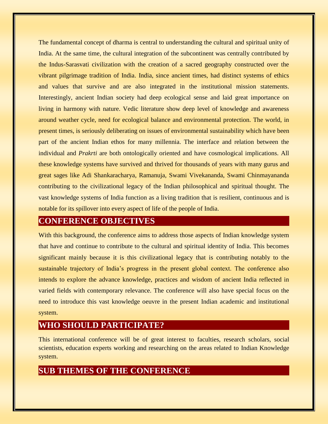The fundamental concept of dharma is central to understanding the cultural and spiritual unity of India. At the same time, the cultural integration of the subcontinent was centrally contributed by the Indus-Sarasvati civilization with the creation of a sacred geography constructed over the vibrant pilgrimage tradition of India. India, since ancient times, had distinct systems of ethics and values that survive and are also integrated in the institutional mission statements. Interestingly, ancient Indian society had deep ecological sense and laid great importance on living in harmony with nature. Vedic literature show deep level of knowledge and awareness around weather cycle, need for ecological balance and environmental protection. The world, in present times, is seriously deliberating on issues of environmental sustainability which have been part of the ancient Indian ethos for many millennia. The interface and relation between the individual and *Prakrti* are both ontologically oriented and have cosmological implications. All these knowledge systems have survived and thrived for thousands of years with many gurus and great sages like Adi Shankaracharya, Ramanuja, Swami Vivekananda, Swami Chinmayananda contributing to the civilizational legacy of the Indian philosophical and spiritual thought. The vast knowledge systems of India function as a living tradition that is resilient, continuous and is notable for its spillover into every aspect of life of the people of India.

#### **CONFERENCE OBJECTIVES**

With this background, the conference aims to address those aspects of Indian knowledge system that have and continue to contribute to the cultural and spiritual identity of India. This becomes significant mainly because it is this civilizational legacy that is contributing notably to the sustainable trajectory of India's progress in the present global context. The conference also intends to explore the advance knowledge, practices and wisdom of ancient India reflected in varied fields with contemporary relevance. The conference will also have special focus on the need to introduce this vast knowledge oeuvre in the present Indian academic and institutional system.

#### **WHO SHOULD PARTICIPATE?**

This international conference will be of great interest to faculties, research scholars, social scientists, education experts working and researching on the areas related to Indian Knowledge system.

#### **SUB THEMES OF THE CONFERENCE**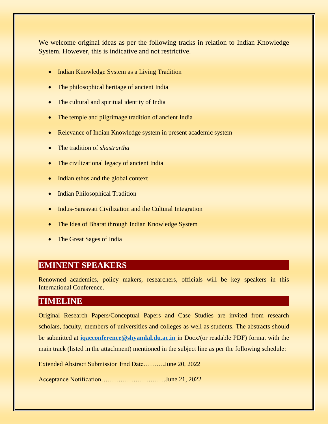We welcome original ideas as per the following tracks in relation to Indian Knowledge System. However, this is indicative and not restrictive.

- Indian Knowledge System as a Living Tradition
- The philosophical heritage of ancient India
- The cultural and spiritual identity of India
- The temple and pilgrimage tradition of ancient India
- Relevance of Indian Knowledge system in present academic system
- The tradition of *shastrartha*
- The civilizational legacy of ancient India
- Indian ethos and the global context
- Indian Philosophical Tradition
- Indus-Sarasvati Civilization and the Cultural Integration
- The Idea of Bharat through Indian Knowledge System
- The Great Sages of India

#### **EMINENT SPEAKERS**

Renowned academics, policy makers, researchers, officials will be key speakers in this International Conference.

#### **TIMELINE**

Original Research Papers/Conceptual Papers and Case Studies are invited from research scholars, faculty, members of universities and colleges as well as students. The abstracts should be submitted at **[iqacconference@shyamlal.du.ac.in](mailto:iqacconference@shyamlal.du.ac.in)** in Docx/(or readable PDF) format with the main track (listed in the attachment) mentioned in the subject line as per the following schedule:

Extended Abstract Submission End Date……….June 20, 2022

Acceptance Notification…………………………June 21, 2022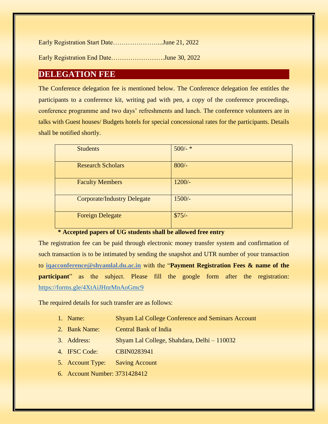| Early Registration Start DateJune 21, 2022 |  |
|--------------------------------------------|--|
| Early Registration End DateJune 30, 2022   |  |

#### **DELEGATION FEE**

The Conference delegation fee is mentioned below. The Conference delegation fee entitles the participants to a conference kit, writing pad with pen, a copy of the conference proceedings, conference programme and two days' refreshments and lunch. The conference volunteers are in talks with Guest houses/ Budgets hotels for special concessional rates for the participants. Details shall be notified shortly.

| <b>Students</b>                    | $500/$ - * |
|------------------------------------|------------|
| <b>Research Scholars</b>           | $800/-$    |
| <b>Faculty Members</b>             | $1200/-$   |
| <b>Corporate/Industry Delegate</b> | $1500/-$   |
| <b>Foreign Delegate</b>            | $$75/-$    |

#### **\* Accepted papers of UG students shall be allowed free entry**

The registration fee can be paid through electronic money transfer system and confirmation of such transaction is to be intimated by sending the snapshot and UTR number of your transaction to **iqacconference@shyamlal.du.ac.in** with the "**Payment Registration Fees & name of the participant**" as the subject. Please fill the google form after the registration: <https://forms.gle/4XtAiJHnrMnAoGmc9>

The required details for such transfer are as follows:

- 1. Name: Shyam Lal College Conference and Seminars Account
- 2. Bank Name: Central Bank of India
- 3. Address: Shyam Lal College, Shahdara, Delhi 110032
- 4. IFSC Code: CBIN0283941
- 5. Account Type: Saving Account
- 6. Account Number: 3731428412